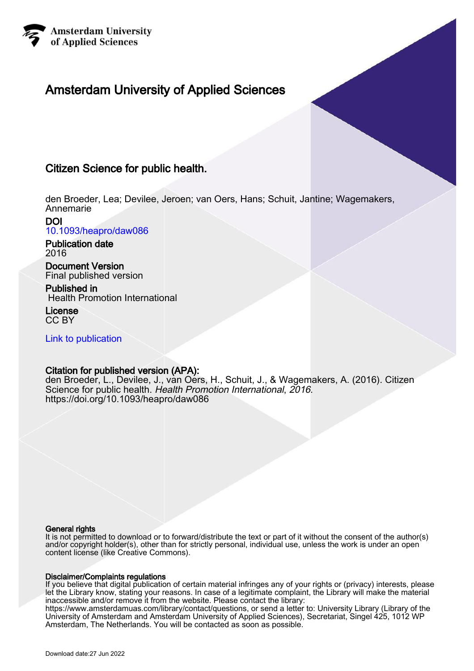

## Amsterdam University of Applied Sciences

## Citizen Science for public health.

den Broeder, Lea; Devilee, Jeroen; van Oers, Hans; Schuit, Jantine; Wagemakers, Annemarie

DOI [10.1093/heapro/daw086](https://doi.org/10.1093/heapro/daw086)

Publication date 2016

Document Version Final published version

Published in Health Promotion International

License CC BY

[Link to publication](https://research.hva.nl/en/publications/fae16edb-75f3-4f76-92b3-aaa696ffcfdf)

### Citation for published version (APA):

den Broeder, L., Devilee, J., van Oers, H., Schuit, J., & Wagemakers, A. (2016). Citizen Science for public health. Health Promotion International, 2016. <https://doi.org/10.1093/heapro/daw086>

#### General rights

It is not permitted to download or to forward/distribute the text or part of it without the consent of the author(s) and/or copyright holder(s), other than for strictly personal, individual use, unless the work is under an open content license (like Creative Commons).

#### Disclaimer/Complaints regulations

If you believe that digital publication of certain material infringes any of your rights or (privacy) interests, please let the Library know, stating your reasons. In case of a legitimate complaint, the Library will make the material inaccessible and/or remove it from the website. Please contact the library:

https://www.amsterdamuas.com/library/contact/questions, or send a letter to: University Library (Library of the University of Amsterdam and Amsterdam University of Applied Sciences), Secretariat, Singel 425, 1012 WP Amsterdam, The Netherlands. You will be contacted as soon as possible.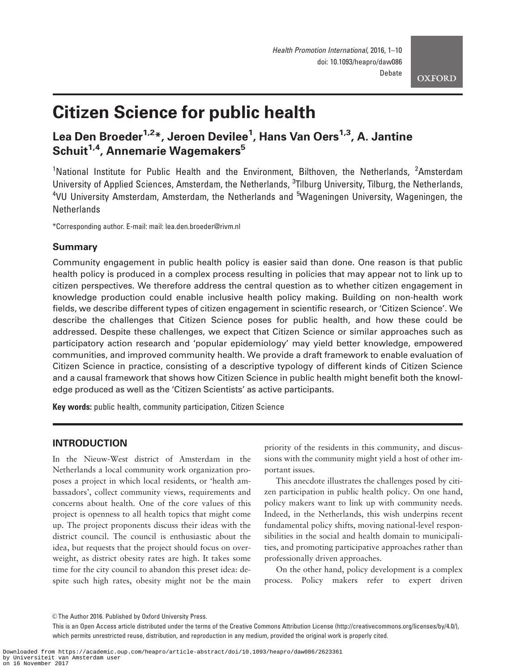**OXFORD** 

# Citizen Science for public health

## Lea Den Broeder<sup>1,2</sup>\*, Jeroen Devilee<sup>1</sup>, Hans Van Oers<sup>1,3</sup>, A. Jantine Schuit<sup>1,4</sup>. Annemarie Wagemakers<sup>5</sup>

<sup>1</sup>National Institute for Public Health and the Environment, Bilthoven, the Netherlands, <sup>2</sup>Amsterdam University of Applied Sciences, Amsterdam, the Netherlands, <sup>3</sup>Tilburg University, Tilburg, the Netherlands, <sup>4</sup>VU University Amsterdam, Amsterdam, the Netherlands and <sup>5</sup>Wageningen University, Wageningen, the **Netherlands** 

\*Corresponding author. E-mail: mail: lea.den.broeder@rivm.nl

#### Summary

Community engagement in public health policy is easier said than done. One reason is that public health policy is produced in a complex process resulting in policies that may appear not to link up to citizen perspectives. We therefore address the central question as to whether citizen engagement in knowledge production could enable inclusive health policy making. Building on non-health work fields, we describe different types of citizen engagement in scientific research, or 'Citizen Science'. We describe the challenges that Citizen Science poses for public health, and how these could be addressed. Despite these challenges, we expect that Citizen Science or similar approaches such as participatory action research and 'popular epidemiology' may yield better knowledge, empowered communities, and improved community health. We provide a draft framework to enable evaluation of Citizen Science in practice, consisting of a descriptive typology of different kinds of Citizen Science and a causal framework that shows how Citizen Science in public health might benefit both the knowledge produced as well as the 'Citizen Scientists' as active participants.

Key words: public health, community participation, Citizen Science

#### INTRODUCTION

In the Nieuw-West district of Amsterdam in the Netherlands a local community work organization proposes a project in which local residents, or 'health ambassadors', collect community views, requirements and concerns about health. One of the core values of this project is openness to all health topics that might come up. The project proponents discuss their ideas with the district council. The council is enthusiastic about the idea, but requests that the project should focus on overweight, as district obesity rates are high. It takes some time for the city council to abandon this preset idea: despite such high rates, obesity might not be the main

priority of the residents in this community, and discussions with the community might yield a host of other important issues.

This anecdote illustrates the challenges posed by citizen participation in public health policy. On one hand, policy makers want to link up with community needs. Indeed, in the Netherlands, this wish underpins recent fundamental policy shifts, moving national-level responsibilities in the social and health domain to municipalities, and promoting participative approaches rather than professionally driven approaches.

On the other hand, policy development is a complex process. Policy makers refer to expert driven

<sup>©</sup> The Author 2016. Published by Oxford University Press.

This is an Open Access article distributed under the terms of the Creative Commons Attribution License (http://creativecommons.org/licenses/by/4.0/), which permits unrestricted reuse, distribution, and reproduction in any medium, provided the original work is properly cited.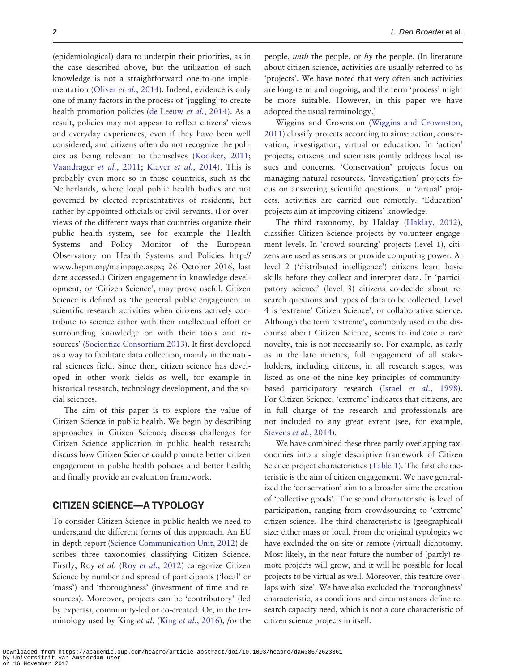(epidemiological) data to underpin their priorities, as in the case described above, but the utilization of such knowledge is not a straightforward one-to-one imple-mentation (Oliver et al.[, 2014](#page-9-0)). Indeed, evidence is only one of many factors in the process of 'juggling' to create health promotion policies [\(de Leeuw](#page-8-0) et al., 2014). As a result, policies may not appear to reflect citizens' views and everyday experiences, even if they have been well considered, and citizens often do not recognize the policies as being relevant to themselves ([Kooiker, 2011](#page-9-0); [Vaandrager](#page-10-0) et al., 2011; Klaver et al.[, 2014\)](#page-9-0). This is probably even more so in those countries, such as the Netherlands, where local public health bodies are not governed by elected representatives of residents, but rather by appointed officials or civil servants. (For overviews of the different ways that countries organize their public health system, see for example the Health Systems and Policy Monitor of the European Observatory on Health Systems and Policies [http://](http://www.hspm.org/mainpage.aspx) [www.hspm.org/mainpage.aspx](http://www.hspm.org/mainpage.aspx); 26 October 2016, last date accessed.) Citizen engagement in knowledge development, or 'Citizen Science', may prove useful. Citizen Science is defined as 'the general public engagement in scientific research activities when citizens actively contribute to science either with their intellectual effort or surrounding knowledge or with their tools and resources' ([Socientize Consortium 2013\)](#page-10-0). It first developed as a way to facilitate data collection, mainly in the natural sciences field. Since then, citizen science has developed in other work fields as well, for example in historical research, technology development, and the social sciences.

The aim of this paper is to explore the value of Citizen Science in public health. We begin by describing approaches in Citizen Science; discuss challenges for Citizen Science application in public health research; discuss how Citizen Science could promote better citizen engagement in public health policies and better health; and finally provide an evaluation framework.

#### CITIZEN SCIENCE—A TYPOLOGY

To consider Citizen Science in public health we need to understand the different forms of this approach. An EU in-depth report ([Science Communication Unit, 2012](#page-10-0)) describes three taxonomies classifying Citizen Science. Firstly, Roy et al. (Roy et al.[, 2012](#page-10-0)) categorize Citizen Science by number and spread of participants ('local' or 'mass') and 'thoroughness' (investment of time and resources). Moreover, projects can be 'contributory' (led by experts), community-led or co-created. Or, in the ter-minology used by King et al. (King et al.[, 2016](#page-9-0)), for the

people, with the people, or by the people. (In literature about citizen science, activities are usually referred to as 'projects'. We have noted that very often such activities are long-term and ongoing, and the term 'process' might be more suitable. However, in this paper we have adopted the usual terminology.)

Wiggins and Crownston ([Wiggins and Crownston,](#page-10-0) [2011](#page-10-0)) classify projects according to aims: action, conservation, investigation, virtual or education. In 'action' projects, citizens and scientists jointly address local issues and concerns. 'Conservation' projects focus on managing natural resources. 'Investigation' projects focus on answering scientific questions. In 'virtual' projects, activities are carried out remotely. 'Education' projects aim at improving citizens' knowledge.

The third taxonomy, by Haklay [\(Haklay, 2012](#page-9-0)), classifies Citizen Science projects by volunteer engagement levels. In 'crowd sourcing' projects (level 1), citizens are used as sensors or provide computing power. At level 2 ('distributed intelligence') citizens learn basic skills before they collect and interpret data. In 'participatory science' (level 3) citizens co-decide about research questions and types of data to be collected. Level 4 is 'extreme' Citizen Science', or collaborative science. Although the term 'extreme', commonly used in the discourse about Citizen Science, seems to indicate a rare novelty, this is not necessarily so. For example, as early as in the late nineties, full engagement of all stakeholders, including citizens, in all research stages, was listed as one of the nine key principles of community-based participatory research (Israel et al.[, 1998](#page-9-0)). For Citizen Science, 'extreme' indicates that citizens, are in full charge of the research and professionals are not included to any great extent (see, for example, [Stevens](#page-10-0) et al., 2014).

We have combined these three partly overlapping taxonomies into a single descriptive framework of Citizen Science project characteristics [\(Table 1\)](#page-3-0). The first characteristic is the aim of citizen engagement. We have generalized the 'conservation' aim to a broader aim: the creation of 'collective goods'. The second characteristic is level of participation, ranging from crowdsourcing to 'extreme' citizen science. The third characteristic is (geographical) size: either mass or local. From the original typologies we have excluded the on-site or remote (virtual) dichotomy. Most likely, in the near future the number of (partly) remote projects will grow, and it will be possible for local projects to be virtual as well. Moreover, this feature overlaps with 'size'. We have also excluded the 'thoroughness' characteristic, as conditions and circumstances define research capacity need, which is not a core characteristic of citizen science projects in itself.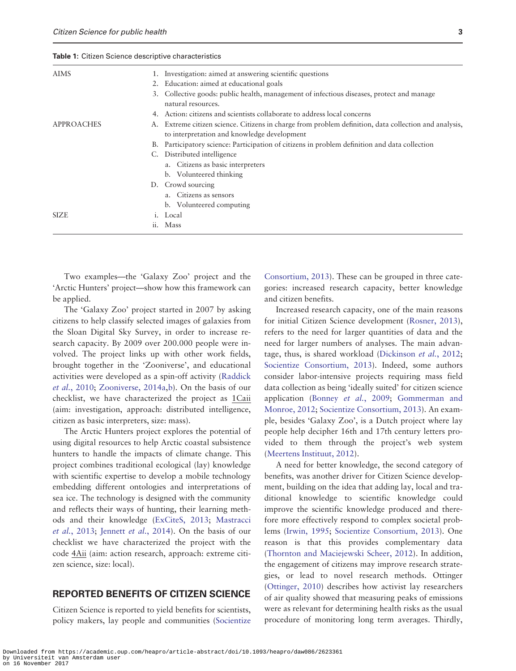<span id="page-3-0"></span>Table 1: Citizen Science descriptive characteristics

| <b>AIMS</b>       | 1. Investigation: aimed at answering scientific questions                                                                                            |
|-------------------|------------------------------------------------------------------------------------------------------------------------------------------------------|
|                   | 2. Education: aimed at educational goals                                                                                                             |
|                   | 3. Collective goods: public health, management of infectious diseases, protect and manage<br>natural resources.                                      |
|                   | Action: citizens and scientists collaborate to address local concerns<br>4.                                                                          |
| <b>APPROACHES</b> | A. Extreme citizen science. Citizens in charge from problem definition, data collection and analysis,<br>to interpretation and knowledge development |
|                   | Participatory science: Participation of citizens in problem definition and data collection<br>В.                                                     |
|                   | C. Distributed intelligence                                                                                                                          |
|                   | a. Citizens as basic interpreters                                                                                                                    |
|                   | b. Volunteered thinking                                                                                                                              |
|                   | D. Crowd sourcing                                                                                                                                    |
|                   | Citizens as sensors                                                                                                                                  |
|                   | b. Volunteered computing                                                                                                                             |
| SIZE.             | i. Local                                                                                                                                             |
|                   | Mass<br>ii.                                                                                                                                          |
|                   |                                                                                                                                                      |

Two examples—the 'Galaxy Zoo' project and the 'Arctic Hunters' project—show how this framework can be applied.

The 'Galaxy Zoo' project started in 2007 by asking citizens to help classify selected images of galaxies from the Sloan Digital Sky Survey, in order to increase research capacity. By 2009 over 200.000 people were involved. The project links up with other work fields, brought together in the 'Zooniverse', and educational activities were developed as a spin-off activity [\(Raddick](#page-10-0) et al.[, 2010](#page-10-0); [Zooniverse, 2014a](#page-10-0),[b](#page-10-0)). On the basis of our checklist, we have characterized the project as 1Caii (aim: investigation, approach: distributed intelligence, citizen as basic interpreters, size: mass).

The Arctic Hunters project explores the potential of using digital resources to help Arctic coastal subsistence hunters to handle the impacts of climate change. This project combines traditional ecological (lay) knowledge with scientific expertise to develop a mobile technology embedding different ontologies and interpretations of sea ice. The technology is designed with the community and reflects their ways of hunting, their learning methods and their knowledge [\(ExCiteS, 2013;](#page-9-0) [Mastracci](#page-9-0) et al.[, 2013](#page-9-0); [Jennett](#page-9-0) et al., 2014). On the basis of our checklist we have characterized the project with the code 4Aii (aim: action research, approach: extreme citizen science, size: local).

#### REPORTED BENEFITS OF CITIZEN SCIENCE

Citizen Science is reported to yield benefits for scientists, policy makers, lay people and communities [\(Socientize](#page-10-0)

[Consortium, 2013](#page-10-0)). These can be grouped in three categories: increased research capacity, better knowledge and citizen benefits.

Increased research capacity, one of the main reasons for initial Citizen Science development [\(Rosner, 2013](#page-10-0)), refers to the need for larger quantities of data and the need for larger numbers of analyses. The main advan-tage, thus, is shared workload [\(Dickinson](#page-8-0) et al., 2012; [Socientize Consortium, 2013](#page-10-0)). Indeed, some authors consider labor-intensive projects requiring mass field data collection as being 'ideally suited' for citizen science application [\(Bonney](#page-8-0) et al., 2009; [Gommerman and](#page-9-0) [Monroe, 2012;](#page-9-0) [Socientize Consortium, 2013\)](#page-10-0). An example, besides 'Galaxy Zoo', is a Dutch project where lay people help decipher 16th and 17th century letters provided to them through the project's web system [\(Meertens Instituut, 2012\)](#page-9-0).

A need for better knowledge, the second category of benefits, was another driver for Citizen Science development, building on the idea that adding lay, local and traditional knowledge to scientific knowledge could improve the scientific knowledge produced and therefore more effectively respond to complex societal problems ([Irwin, 1995](#page-9-0); [Socientize Consortium, 2013](#page-10-0)). One reason is that this provides complementary data [\(Thornton and Maciejewski Scheer, 2012\)](#page-10-0). In addition, the engagement of citizens may improve research strategies, or lead to novel research methods. Ottinger [\(Ottinger, 2010](#page-9-0)) describes how activist lay researchers of air quality showed that measuring peaks of emissions were as relevant for determining health risks as the usual procedure of monitoring long term averages. Thirdly,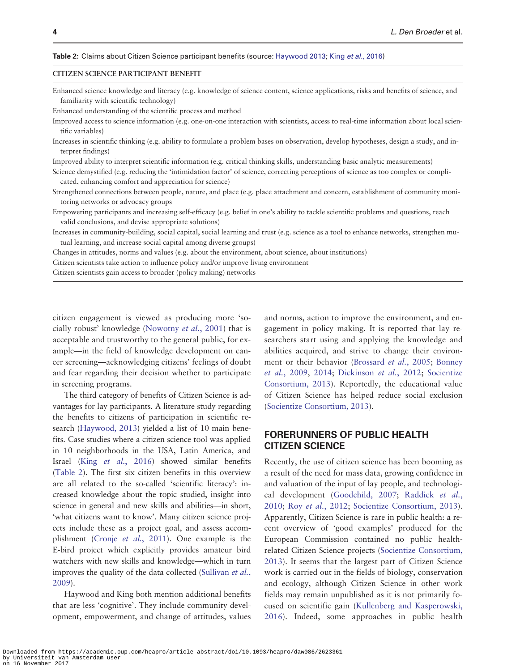#### Table 2: Claims about Citizen Science participant benefits (source: [Haywood 2013](#page-9-0); King et al.[, 2016](#page-9-0))

#### CITIZEN SCIENCE PARTICIPANT BENEFIT

Enhanced science knowledge and literacy (e.g. knowledge of science content, science applications, risks and benefits of science, and familiarity with scientific technology)

Enhanced understanding of the scientific process and method

Improved access to science information (e.g. one-on-one interaction with scientists, access to real-time information about local scientific variables)

Increases in scientific thinking (e.g. ability to formulate a problem bases on observation, develop hypotheses, design a study, and interpret findings)

Improved ability to interpret scientific information (e.g. critical thinking skills, understanding basic analytic measurements)

Science demystified (e.g. reducing the 'intimidation factor' of science, correcting perceptions of science as too complex or complicated, enhancing comfort and appreciation for science)

Strengthened connections between people, nature, and place (e.g. place attachment and concern, establishment of community monitoring networks or advocacy groups

Empowering participants and increasing self-efficacy (e.g. belief in one's ability to tackle scientific problems and questions, reach valid conclusions, and devise appropriate solutions)

Increases in community-building, social capital, social learning and trust (e.g. science as a tool to enhance networks, strengthen mutual learning, and increase social capital among diverse groups)

Changes in attitudes, norms and values (e.g. about the environment, about science, about institutions)

Citizen scientists take action to influence policy and/or improve living environment

Citizen scientists gain access to broader (policy making) networks

citizen engagement is viewed as producing more 'socially robust' knowledge [\(Nowotny](#page-9-0) et al., 2001) that is acceptable and trustworthy to the general public, for example—in the field of knowledge development on cancer screening—acknowledging citizens' feelings of doubt and fear regarding their decision whether to participate in screening programs.

The third category of benefits of Citizen Science is advantages for lay participants. A literature study regarding the benefits to citizens of participation in scientific research [\(Haywood, 2013](#page-9-0)) yielded a list of 10 main benefits. Case studies where a citizen science tool was applied in 10 neighborhoods in the USA, Latin America, and Israel (King et al.[, 2016\)](#page-9-0) showed similar benefits (Table 2). The first six citizen benefits in this overview are all related to the so-called 'scientific literacy': increased knowledge about the topic studied, insight into science in general and new skills and abilities—in short, 'what citizens want to know'. Many citizen science projects include these as a project goal, and assess accomplishment (Cronje et al.[, 2011](#page-8-0)). One example is the E-bird project which explicitly provides amateur bird watchers with new skills and knowledge—which in turn improves the quality of the data collected [\(Sullivan](#page-10-0) et al., [2009](#page-10-0)).

Haywood and King both mention additional benefits that are less 'cognitive'. They include community development, empowerment, and change of attitudes, values

and norms, action to improve the environment, and engagement in policy making. It is reported that lay researchers start using and applying the knowledge and abilities acquired, and strive to change their environ-ment or their behavior [\(Brossard](#page-8-0) et al., 2005; [Bonney](#page-8-0) et al.[, 2009,](#page-8-0) [2014;](#page-8-0) [Dickinson](#page-8-0) et al., 2012; [Socientize](#page-10-0) [Consortium, 2013](#page-10-0)). Reportedly, the educational value of Citizen Science has helped reduce social exclusion [\(Socientize Consortium, 2013](#page-10-0)).

#### FORERUNNERS OF PUBLIC HEALTH CITIZEN SCIENCE

Recently, the use of citizen science has been booming as a result of the need for mass data, growing confidence in and valuation of the input of lay people, and technological development [\(Goodchild, 2007](#page-9-0); [Raddick](#page-10-0) et al., [2010](#page-10-0); Roy et al.[, 2012](#page-10-0); [Socientize Consortium, 2013](#page-10-0)). Apparently, Citizen Science is rare in public health: a recent overview of 'good examples' produced for the European Commission contained no public healthrelated Citizen Science projects [\(Socientize Consortium,](#page-10-0) [2013](#page-10-0)). It seems that the largest part of Citizen Science work is carried out in the fields of biology, conservation and ecology, although Citizen Science in other work fields may remain unpublished as it is not primarily focused on scientific gain ([Kullenberg and Kasperowski,](#page-9-0) [2016](#page-9-0)). Indeed, some approaches in public health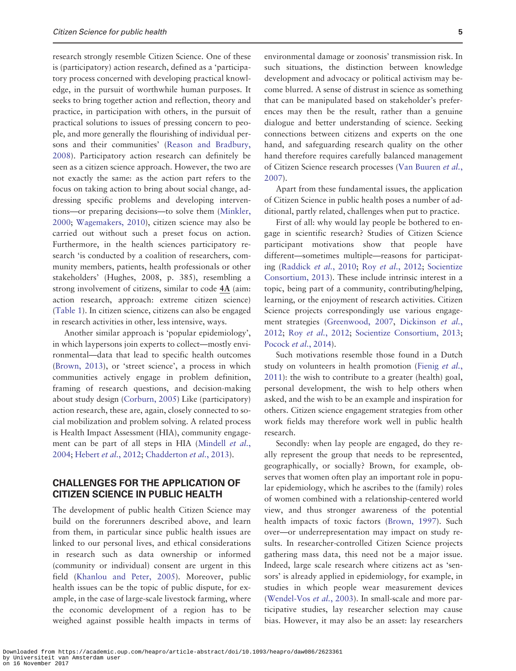research strongly resemble Citizen Science. One of these is (participatory) action research, defined as a 'participatory process concerned with developing practical knowledge, in the pursuit of worthwhile human purposes. It seeks to bring together action and reflection, theory and practice, in participation with others, in the pursuit of practical solutions to issues of pressing concern to people, and more generally the flourishing of individual persons and their communities' [\(Reason and Bradbury,](#page-10-0) [2008](#page-10-0)). Participatory action research can definitely be seen as a citizen science approach. However, the two are not exactly the same: as the action part refers to the focus on taking action to bring about social change, addressing specific problems and developing interventions—or preparing decisions—to solve them ([Minkler,](#page-9-0) [2000](#page-9-0); [Wagemakers, 2010\)](#page-10-0), citizen science may also be carried out without such a preset focus on action. Furthermore, in the health sciences participatory research 'is conducted by a coalition of researchers, community members, patients, health professionals or other stakeholders' (Hughes, 2008, p. 385), resembling a strong involvement of citizens, similar to code 4A (aim: action research, approach: extreme citizen science) [\(Table 1](#page-3-0)). In citizen science, citizens can also be engaged in research activities in other, less intensive, ways.

Another similar approach is 'popular epidemiology', in which laypersons join experts to collect—mostly environmental—data that lead to specific health outcomes [\(Brown, 2013](#page-8-0)), or 'street science', a process in which communities actively engage in problem definition, framing of research questions, and decision-making about study design ([Corburn, 2005\)](#page-8-0) Like (participatory) action research, these are, again, closely connected to social mobilization and problem solving. A related process is Health Impact Assessment (HIA), community engage-ment can be part of all steps in HIA ([Mindell](#page-9-0) et al., [2004](#page-9-0); [Hebert](#page-9-0) et al., 2012; [Chadderton](#page-8-0) et al., 2013).

#### CHALLENGES FOR THE APPLICATION OF CITIZEN SCIENCE IN PUBLIC HEALTH

The development of public health Citizen Science may build on the forerunners described above, and learn from them, in particular since public health issues are linked to our personal lives, and ethical considerations in research such as data ownership or informed (community or individual) consent are urgent in this field ([Khanlou and Peter, 2005](#page-9-0)). Moreover, public health issues can be the topic of public dispute, for example, in the case of large-scale livestock farming, where the economic development of a region has to be weighed against possible health impacts in terms of environmental damage or zoonosis' transmission risk. In such situations, the distinction between knowledge development and advocacy or political activism may become blurred. A sense of distrust in science as something that can be manipulated based on stakeholder's preferences may then be the result, rather than a genuine dialogue and better understanding of science. Seeking connections between citizens and experts on the one hand, and safeguarding research quality on the other hand therefore requires carefully balanced management of Citizen Science research processes ([Van Buuren](#page-10-0) et al., [2007](#page-10-0)).

Apart from these fundamental issues, the application of Citizen Science in public health poses a number of additional, partly related, challenges when put to practice.

First of all: why would lay people be bothered to engage in scientific research? Studies of Citizen Science participant motivations show that people have different—sometimes multiple—reasons for participating [\(Raddick](#page-10-0) et al., 2010; Roy et al.[, 2012](#page-10-0); [Socientize](#page-10-0) [Consortium, 2013](#page-10-0)). These include intrinsic interest in a topic, being part of a community, contributing/helping, learning, or the enjoyment of research activities. Citizen Science projects correspondingly use various engage-ment strategies ([Greenwood, 2007](#page-9-0), [Dickinson](#page-8-0) et al., [2012](#page-8-0); Roy et al.[, 2012](#page-10-0); [Socientize Consortium, 2013](#page-10-0); [Pocock](#page-9-0) et al., 2014).

Such motivations resemble those found in a Dutch study on volunteers in health promotion ([Fienig](#page-9-0) et al., [2011](#page-9-0)): the wish to contribute to a greater (health) goal, personal development, the wish to help others when asked, and the wish to be an example and inspiration for others. Citizen science engagement strategies from other work fields may therefore work well in public health research.

Secondly: when lay people are engaged, do they really represent the group that needs to be represented, geographically, or socially? Brown, for example, observes that women often play an important role in popular epidemiology, which he ascribes to the (family) roles of women combined with a relationship-centered world view, and thus stronger awareness of the potential health impacts of toxic factors ([Brown, 1997](#page-8-0)). Such over—or underrepresentation may impact on study results. In researcher-controlled Citizen Science projects gathering mass data, this need not be a major issue. Indeed, large scale research where citizens act as 'sensors' is already applied in epidemiology, for example, in studies in which people wear measurement devices [\(Wendel-Vos](#page-10-0) et al., 2003). In small-scale and more participative studies, lay researcher selection may cause bias. However, it may also be an asset: lay researchers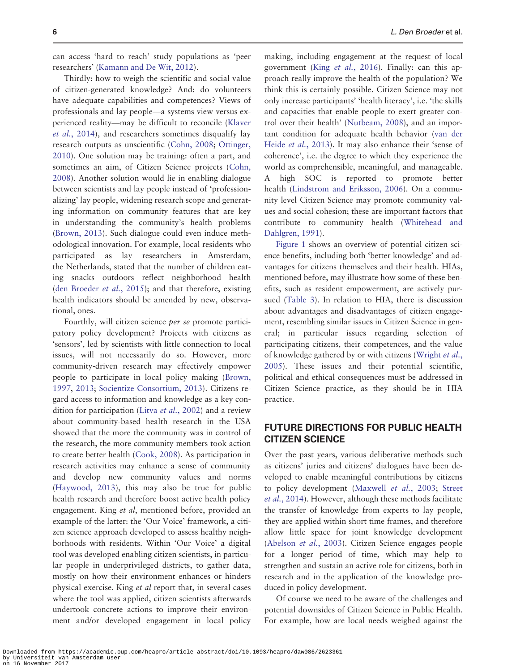can access 'hard to reach' study populations as 'peer researchers' ([Kamann and De Wit, 2012](#page-9-0)).

Thirdly: how to weigh the scientific and social value of citizen-generated knowledge? And: do volunteers have adequate capabilities and competences? Views of professionals and lay people—a systems view versus experienced reality—may be difficult to reconcile ([Klaver](#page-9-0) et al.[, 2014\)](#page-9-0), and researchers sometimes disqualify lay research outputs as unscientific [\(Cohn, 2008;](#page-8-0) [Ottinger,](#page-9-0) [2010](#page-9-0)). One solution may be training: often a part, and sometimes an aim, of Citizen Science projects [\(Cohn,](#page-8-0) [2008](#page-8-0)). Another solution would lie in enabling dialogue between scientists and lay people instead of 'professionalizing' lay people, widening research scope and generating information on community features that are key in understanding the community's health problems [\(Brown, 2013](#page-8-0)). Such dialogue could even induce methodological innovation. For example, local residents who participated as lay researchers in Amsterdam, the Netherlands, stated that the number of children eating snacks outdoors reflect neighborhood health [\(den Broeder](#page-8-0) et al., 2015); and that therefore, existing health indicators should be amended by new, observational, ones.

Fourthly, will citizen science per se promote participatory policy development? Projects with citizens as 'sensors', led by scientists with little connection to local issues, will not necessarily do so. However, more community-driven research may effectively empower people to participate in local policy making ([Brown,](#page-8-0) [1997](#page-8-0), [2013;](#page-8-0) [Socientize Consortium, 2013](#page-10-0)). Citizens regard access to information and knowledge as a key con-dition for participation (Litva et al.[, 2002](#page-9-0)) and a review about community-based health research in the USA showed that the more the community was in control of the research, the more community members took action to create better health ([Cook, 2008](#page-8-0)). As participation in research activities may enhance a sense of community and develop new community values and norms [\(Haywood, 2013\)](#page-9-0), this may also be true for public health research and therefore boost active health policy engagement. King et al, mentioned before, provided an example of the latter: the 'Our Voice' framework, a citizen science approach developed to assess healthy neighborhoods with residents. Within 'Our Voice' a digital tool was developed enabling citizen scientists, in particular people in underprivileged districts, to gather data, mostly on how their environment enhances or hinders physical exercise. King et al report that, in several cases where the tool was applied, citizen scientists afterwards undertook concrete actions to improve their environment and/or developed engagement in local policy

making, including engagement at the request of local government (King et al.[, 2016\)](#page-9-0). Finally: can this approach really improve the health of the population? We think this is certainly possible. Citizen Science may not only increase participants' 'health literacy', i.e. 'the skills and capacities that enable people to exert greater control over their health' ([Nutbeam, 2008](#page-9-0)), and an important condition for adequate health behavior [\(van der](#page-10-0) Heide et al.[, 2013](#page-10-0)). It may also enhance their 'sense of coherence', i.e. the degree to which they experience the world as comprehensible, meaningful, and manageable. A high SOC is reported to promote better health ([Lindstrom and Eriksson, 2006\)](#page-9-0). On a community level Citizen Science may promote community values and social cohesion; these are important factors that contribute to community health [\(Whitehead and](#page-10-0) [Dahlgren, 1991\)](#page-10-0).

[Figure 1](#page-7-0) shows an overview of potential citizen science benefits, including both 'better knowledge' and advantages for citizens themselves and their health. HIAs, mentioned before, may illustrate how some of these benefits, such as resident empowerment, are actively pursued ([Table 3\)](#page-7-0). In relation to HIA, there is discussion about advantages and disadvantages of citizen engagement, resembling similar issues in Citizen Science in general; in particular issues regarding selection of participating citizens, their competences, and the value of knowledge gathered by or with citizens [\(Wright](#page-10-0) *et al.*, [2005](#page-10-0)). These issues and their potential scientific, political and ethical consequences must be addressed in Citizen Science practice, as they should be in HIA practice.

#### FUTURE DIRECTIONS FOR PUBLIC HEALTH CITIZEN SCIENCE

Over the past years, various deliberative methods such as citizens' juries and citizens' dialogues have been developed to enable meaningful contributions by citizens to policy development ([Maxwell](#page-9-0) et al., 2003; [Street](#page-10-0) et al.[, 2014\)](#page-10-0). However, although these methods facilitate the transfer of knowledge from experts to lay people, they are applied within short time frames, and therefore allow little space for joint knowledge development [\(Abelson](#page-8-0) et al., 2003). Citizen Science engages people for a longer period of time, which may help to strengthen and sustain an active role for citizens, both in research and in the application of the knowledge produced in policy development.

Of course we need to be aware of the challenges and potential downsides of Citizen Science in Public Health. For example, how are local needs weighed against the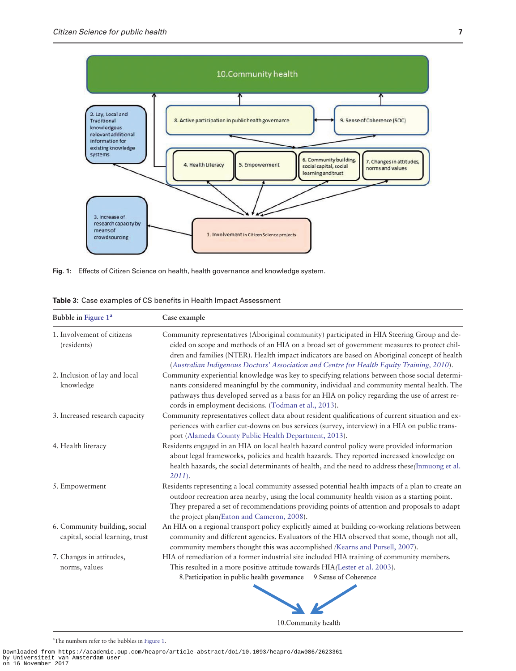<span id="page-7-0"></span>

Fig. 1: Effects of Citizen Science on health, health governance and knowledge system.

|  |  |  |  |  |  |  | <b>Table 3:</b> Case examples of CS benefits in Health Impact Assessment |
|--|--|--|--|--|--|--|--------------------------------------------------------------------------|
|--|--|--|--|--|--|--|--------------------------------------------------------------------------|

| Bubble in Figure 1 <sup>a</sup>                                  | Case example                                                                                                                                                                                                                                                                                                                                                                            |  |  |  |  |
|------------------------------------------------------------------|-----------------------------------------------------------------------------------------------------------------------------------------------------------------------------------------------------------------------------------------------------------------------------------------------------------------------------------------------------------------------------------------|--|--|--|--|
| 1. Involvement of citizens<br>(residents)                        | Community representatives (Aboriginal community) participated in HIA Steering Group and de-<br>cided on scope and methods of an HIA on a broad set of government measures to protect chil-<br>dren and families (NTER). Health impact indicators are based on Aboriginal concept of health<br>(Australian Indigenous Doctors' Association and Centre for Health Equity Training, 2010). |  |  |  |  |
| 2. Inclusion of lay and local<br>knowledge                       | Community experiential knowledge was key to specifying relations between those social determi-<br>nants considered meaningful by the community, individual and community mental health. The<br>pathways thus developed served as a basis for an HIA on policy regarding the use of arrest re-<br>cords in employment decisions. (Todman et al., 2013).                                  |  |  |  |  |
| 3. Increased research capacity                                   | Community representatives collect data about resident qualifications of current situation and ex-<br>periences with earlier cut-downs on bus services (survey, interview) in a HIA on public trans-<br>port (Alameda County Public Health Department, 2013).                                                                                                                            |  |  |  |  |
| 4. Health literacy                                               | Residents engaged in an HIA on local health hazard control policy were provided information<br>about legal frameworks, policies and health hazards. They reported increased knowledge on<br>health hazards, the social determinants of health, and the need to address these/Inmuong et al.<br>$2011$ ).                                                                                |  |  |  |  |
| 5. Empowerment                                                   | Residents representing a local community assessed potential health impacts of a plan to create an<br>outdoor recreation area nearby, using the local community health vision as a starting point.<br>They prepared a set of recommendations providing points of attention and proposals to adapt<br>the project plan(Eaton and Cameron, 2008).                                          |  |  |  |  |
| 6. Community building, social<br>capital, social learning, trust | An HIA on a regional transport policy explicitly aimed at building co-working relations between<br>community and different agencies. Evaluators of the HIA observed that some, though not all,<br>community members thought this was accomplished (Kearns and Pursell, 2007).                                                                                                           |  |  |  |  |
| 7. Changes in attitudes,<br>norms, values                        | HIA of remediation of a former industrial site included HIA training of community members.<br>This resulted in a more positive attitude towards HIA/Lester et al. 2003).<br>8. Participation in public health governance<br>9. Sense of Coherence                                                                                                                                       |  |  |  |  |

10. Community health

a The numbers refer to the bubbles in Figure 1.

Downloaded from https://academic.oup.com/heapro/article-abstract/doi/10.1093/heapro/daw086/2623361 by Universiteit van Amsterdam user on 16 November 2017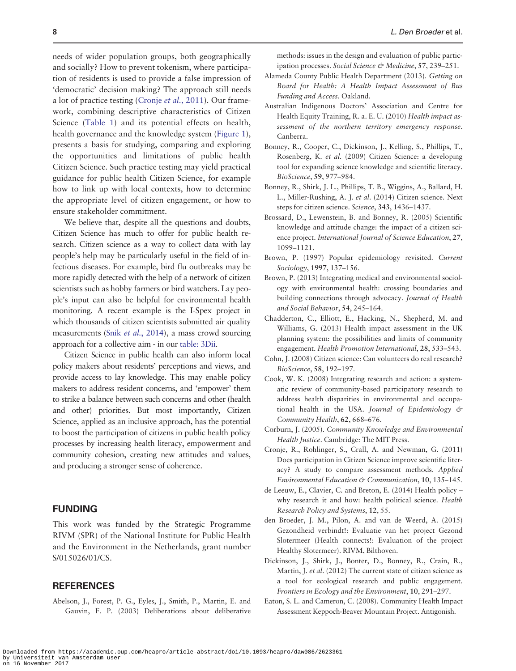<span id="page-8-0"></span>needs of wider population groups, both geographically and socially? How to prevent tokenism, where participation of residents is used to provide a false impression of 'democratic' decision making? The approach still needs a lot of practice testing (Cronje et al., 2011). Our framework, combining descriptive characteristics of Citizen Science [\(Table 1](#page-3-0)) and its potential effects on health, health governance and the knowledge system [\(Figure 1](#page-7-0)), presents a basis for studying, comparing and exploring the opportunities and limitations of public health Citizen Science. Such practice testing may yield practical guidance for public health Citizen Science, for example how to link up with local contexts, how to determine the appropriate level of citizen engagement, or how to ensure stakeholder commitment.

We believe that, despite all the questions and doubts, Citizen Science has much to offer for public health research. Citizen science as a way to collect data with lay people's help may be particularly useful in the field of infectious diseases. For example, bird flu outbreaks may be more rapidly detected with the help of a network of citizen scientists such as hobby farmers or bird watchers. Lay people's input can also be helpful for environmental health monitoring. A recent example is the I-Spex project in which thousands of citizen scientists submitted air quality measurements (Snik et al.[, 2014](#page-10-0)), a mass crowd sourcing approach for a collective aim - in our [table: 3Dii.](#page-7-0)

Citizen Science in public health can also inform local policy makers about residents' perceptions and views, and provide access to lay knowledge. This may enable policy makers to address resident concerns, and 'empower' them to strike a balance between such concerns and other (health and other) priorities. But most importantly, Citizen Science, applied as an inclusive approach, has the potential to boost the participation of citizens in public health policy processes by increasing health literacy, empowerment and community cohesion, creating new attitudes and values, and producing a stronger sense of coherence.

#### FUNDING

This work was funded by the Strategic Programme RIVM (SPR) of the National Institute for Public Health and the Environment in the Netherlands, grant number S/015026/01/CS.

#### **REFERENCES**

Abelson, J., Forest, P. G., Eyles, J., Smith, P., Martin, E. and Gauvin, F. P. (2003) Deliberations about deliberative methods: issues in the design and evaluation of public participation processes. Social Science & Medicine, 57, 239-251.

- Alameda County Public Health Department (2013). Getting on Board for Health: A Health Impact Assessment of Bus Funding and Access. Oakland.
- Australian Indigenous Doctors' Association and Centre for Health Equity Training, R. a. E. U. (2010) Health impact assessment of the northern territory emergency response. Canberra.
- Bonney, R., Cooper, C., Dickinson, J., Kelling, S., Phillips, T., Rosenberg, K. et al. (2009) Citizen Science: a developing tool for expanding science knowledge and scientific literacy. BioScience, 59, 977–984.
- Bonney, R., Shirk, J. L., Phillips, T. B., Wiggins, A., Ballard, H. L., Miller-Rushing, A. J. et al. (2014) Citizen science. Next steps for citizen science. Science, 343, 1436–1437.
- Brossard, D., Lewenstein, B. and Bonney, R. (2005) Scientific knowledge and attitude change: the impact of a citizen science project. International Journal of Science Education, 27, 1099–1121.
- Brown, P. (1997) Popular epidemiology revisited. Current Sociology, 1997, 137–156.
- Brown, P. (2013) Integrating medical and environmental sociology with environmental health: crossing boundaries and building connections through advocacy. Journal of Health and Social Behavior, 54, 245–164.
- Chadderton, C., Elliott, E., Hacking, N., Shepherd, M. and Williams, G. (2013) Health impact assessment in the UK planning system: the possibilities and limits of community engagement. Health Promotion International, 28, 533–543.
- Cohn, J. (2008) Citizen science: Can volunteers do real research? BioScience, 58, 192–197.
- Cook, W. K. (2008) Integrating research and action: a systematic review of community-based participatory research to address health disparities in environmental and occupational health in the USA. Journal of Epidemiology & Community Health, 62, 668–676.
- Corburn, J. (2005). Community Knowledge and Environmental Health Justice. Cambridge: The MIT Press.
- Cronje, R., Rohlinger, S., Crall, A. and Newman, G. (2011) Does participation in Citizen Science improve scientific literacy? A study to compare assessment methods. Applied Environmental Education & Communication, 10, 135–145.
- de Leeuw, E., Clavier, C. and Breton, E. (2014) Health policy why research it and how: health political science. Health Research Policy and Systems, 12, 55.
- den Broeder, J. M., Pilon, A. and van de Weerd, A. (2015) Gezondheid verbindt!: Evaluatie van het project Gezond Slotermeer (Health connects!: Evaluation of the project Healthy Slotermeer). RIVM, Bilthoven.
- Dickinson, J., Shirk, J., Bonter, D., Bonney, R., Crain, R., Martin, J. et al. (2012) The current state of citizen science as a tool for ecological research and public engagement. Frontiers in Ecology and the Environment, 10, 291–297.
- Eaton, S. L. and Cameron, C. (2008). Community Health Impact Assessment Keppoch-Beaver Mountain Project. Antigonish.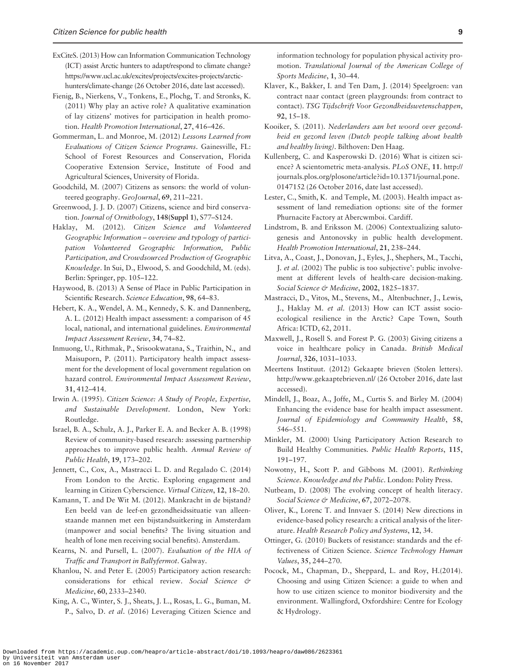- <span id="page-9-0"></span>ExCiteS. (2013) How can Information Communication Technology (ICT) assist Arctic hunters to adapt/respond to climate change? [https://www.ucl.ac.uk/excites/projects/excites-projects/arctic](https://www.ucl.ac.uk/excites/projects/excites-projects/arctic-hunters/climate-change)[hunters/climate-change](https://www.ucl.ac.uk/excites/projects/excites-projects/arctic-hunters/climate-change) (26 October 2016, date last accessed).
- Fienig, B., Nierkens, V., Tonkens, E., Plochg, T. and Stronks, K. (2011) Why play an active role? A qualitative examination of lay citizens' motives for participation in health promotion. Health Promotion International, 27, 416–426.
- Gommerman, L. and Monroe, M. (2012) Lessons Learned from Evaluations of Citizen Science Programs. Gainesville, FL: School of Forest Resources and Conservation, Florida Cooperative Extension Service, Institute of Food and Agricultural Sciences, University of Florida.
- Goodchild, M. (2007) Citizens as sensors: the world of volunteered geography. GeoJournal, 69, 211–221.
- Greenwood, J. J. D. (2007) Citizens, science and bird conservation. Journal of Ornithology, 148(Suppl 1), S77–S124.
- Haklay, M. (2012). Citizen Science and Volunteered Geographic Information – overview and typology of participation Volunteered Geographic Information, Public Participation, and Crowdsourced Production of Geographic Knowledge. In Sui, D., Elwood, S. and Goodchild, M. (eds). Berlin: Springer, pp. 105–122.
- Haywood, B. (2013) A Sense of Place in Public Participation in Scientific Research. Science Education, 98, 64–83.
- Hebert, K. A., Wendel, A. M., Kennedy, S. K. and Dannenberg, A. L. (2012) Health impact assessment: a comparison of 45 local, national, and international guidelines. Environmental Impact Assessment Review, 34, 74–82.
- Inmuong, U., Rithmak, P., Srisookwatana, S., Traithin, N., and Maisuporn, P. (2011). Participatory health impact assessment for the development of local government regulation on hazard control. Environmental Impact Assessment Review, 31, 412–414.
- Irwin A. (1995). Citizen Science: A Study of People, Expertise, and Sustainable Development. London, New York: Routledge.
- Israel, B. A., Schulz, A. J., Parker E. A. and Becker A. B. (1998) Review of community-based research: assessing partnership approaches to improve public health. Annual Review of Public Health, 19, 173–202.
- Jennett, C., Cox, A., Mastracci L. D. and Regalado C. (2014) From London to the Arctic. Exploring engagement and learning in Citizen Cyberscience. Virtual Citizen, 12, 18–20.
- Kamann, T. and De Wit M. (2012). Mankracht in de bijstand? Een beeld van de leef-en gezondheidssituatie van alleenstaande mannen met een bijstandsuitkering in Amsterdam (manpower and social benefits? The living situation and health of lone men receiving social benefits). Amsterdam.
- Kearns, N. and Pursell, L. (2007). Evaluation of the HIA of Traffic and Transport in Ballyfermot. Galway.
- Khanlou, N. and Peter E. (2005) Participatory action research: considerations for ethical review. Social Science & Medicine, 60, 2333–2340.
- King, A. C., Winter, S. J., Sheats, J. L., Rosas, L. G., Buman, M. P., Salvo, D. et al. (2016) Leveraging Citizen Science and

information technology for population physical activity promotion. Translational Journal of the American College of Sports Medicine, 1, 30–44.

- Klaver, K., Bakker, I. and Ten Dam, J. (2014) Speelgroen: van contract naar contact (green playgrounds: from contract to contact). TSG Tijdschrift Voor Gezondheidswetenschappen, 92, 15–18.
- Kooiker, S. (2011). Nederlanders aan het woord over gezondheid en gezond leven (Dutch people talking about health and healthy living). Bilthoven: Den Haag.
- Kullenberg, C. and Kasperowski D. (2016) What is citizen science? A scientometric meta-analysis. PLoS ONE, 11. [http://](http://journals.plos.org/plosone/article?id=10.1371/journal.pone.0147152) [journals.plos.org/plosone/article?id=10.1371/journal.pone.](http://journals.plos.org/plosone/article?id=10.1371/journal.pone.0147152) [0147152](http://journals.plos.org/plosone/article?id=10.1371/journal.pone.0147152) (26 October 2016, date last accessed).
- Lester, C., Smith, K. and Temple, M. (2003). Health impact assessment of land remediation options: site of the former Phurnacite Factory at Abercwmboi. Cardiff.
- Lindstrom, B. and Eriksson M. (2006) Contextualizing salutogenesis and Antonovsky in public health development. Health Promotion International, 21, 238–244.
- Litva, A., Coast, J., Donovan, J., Eyles, J., Shephers, M., Tacchi, J. et al. (2002) The public is too subjective': public involvement at different levels of health-care decision-making. Social Science & Medicine, 2002, 1825-1837.
- Mastracci, D., Vitos, M., Stevens, M., Altenbuchner, J., Lewis, J., Haklay M. et al. (2013) How can ICT assist socioecological resilience in the Arctic? Cape Town, South Africa: ICTD, 62, 2011.
- Maxwell, J., Rosell S. and Forest P. G. (2003) Giving citizens a voice in healthcare policy in Canada. British Medical Journal, 326, 1031–1033.
- Meertens Instituut. (2012) Gekaapte brieven (Stolen letters). <http://www.gekaaptebrieven.nl/> (26 October 2016, date last accessed).
- Mindell, J., Boaz, A., Joffe, M., Curtis S. and Birley M. (2004) Enhancing the evidence base for health impact assessment. Journal of Epidemiology and Community Health, 58, 546–551.
- Minkler, M. (2000) Using Participatory Action Research to Build Healthy Communities. Public Health Reports, 115, 191–197.
- Nowotny, H., Scott P. and Gibbons M. (2001). Rethinking Science. Knowledge and the Public. London: Polity Press.
- Nutbeam, D. (2008) The evolving concept of health literacy. Social Science & Medicine, 67, 2072-2078.
- Oliver, K., Lorenc T. and Innvaer S. (2014) New directions in evidence-based policy research: a critical analysis of the literature. Health Research Policy and Systems, 12, 34.
- Ottinger, G. (2010) Buckets of resistance: standards and the effectiveness of Citizen Science. Science Technology Human Values, 35, 244–270.
- Pocock, M., Chapman, D., Sheppard, L. and Roy, H.(2014). Choosing and using Citizen Science: a guide to when and how to use citizen science to monitor biodiversity and the environment. Wallingford, Oxfordshire: Centre for Ecology & Hydrology.